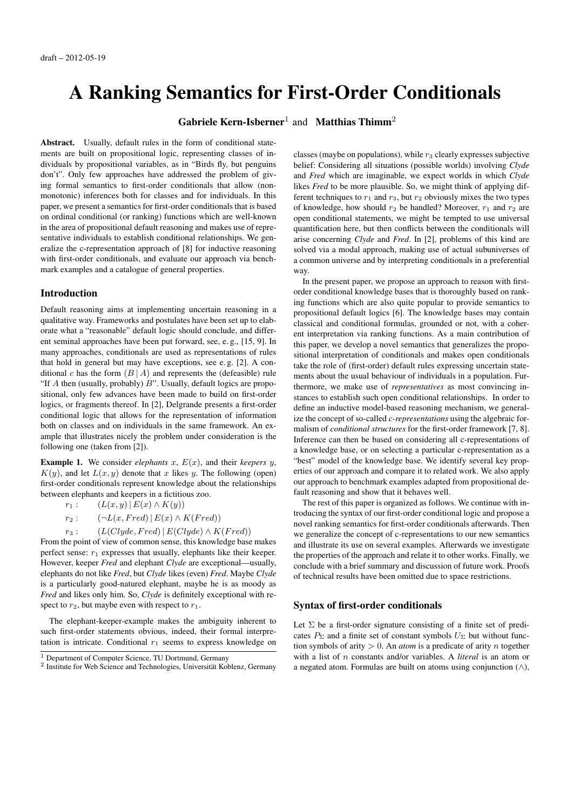# A Ranking Semantics for First-Order Conditionals

# Gabriele Kern-Isberner<sup>1</sup> and Matthias Thimm<sup>2</sup>

Abstract. Usually, default rules in the form of conditional statements are built on propositional logic, representing classes of individuals by propositional variables, as in "Birds fly, but penguins don't". Only few approaches have addressed the problem of giving formal semantics to first-order conditionals that allow (nonmonotonic) inferences both for classes and for individuals. In this paper, we present a semantics for first-order conditionals that is based on ordinal conditional (or ranking) functions which are well-known in the area of propositional default reasoning and makes use of representative individuals to establish conditional relationships. We generalize the c-representation approach of [8] for inductive reasoning with first-order conditionals, and evaluate our approach via benchmark examples and a catalogue of general properties.

# Introduction

Default reasoning aims at implementing uncertain reasoning in a qualitative way. Frameworks and postulates have been set up to elaborate what a "reasonable" default logic should conclude, and different seminal approaches have been put forward, see, e. g., [15, 9]. In many approaches, conditionals are used as representations of rules that hold in general but may have exceptions, see e. g. [2]. A conditional c has the form  $(B | A)$  and represents the (defeasible) rule "If  $A$  then (usually, probably)  $B$ ". Usually, default logics are propositional, only few advances have been made to build on first-order logics, or fragments thereof. In [2], Delgrande presents a first-order conditional logic that allows for the representation of information both on classes and on individuals in the same framework. An example that illustrates nicely the problem under consideration is the following one (taken from [2]).

**Example 1.** We consider *elephants*  $x$ ,  $E(x)$ , and their *keepers*  $y$ ,  $K(y)$ , and let  $L(x, y)$  denote that x likes y. The following (open) first-order conditionals represent knowledge about the relationships between elephants and keepers in a fictitious zoo.

 $r_1:$   $(L(x,y)|E(x) \wedge K(y))$ 

- $r_2$  :  $(\neg L(x, Fred) | E(x) \wedge K(Fred))$
- $r_3$ :  $(L(Clyde, Fred) | E(Clyde) \wedge K(Fred))$

From the point of view of common sense, this knowledge base makes perfect sense:  $r_1$  expresses that usually, elephants like their keeper. However, keeper *Fred* and elephant *Clyde* are exceptional—usually, elephants do not like *Fred*, but *Clyde* likes (even) *Fred*. Maybe *Clyde* is a particularly good-natured elephant, maybe he is as moody as *Fred* and likes only him. So, *Clyde* is definitely exceptional with respect to  $r_2$ , but maybe even with respect to  $r_1$ .

The elephant-keeper-example makes the ambiguity inherent to such first-order statements obvious, indeed, their formal interpretation is intricate. Conditional  $r_1$  seems to express knowledge on classes (maybe on populations), while  $r_3$  clearly expresses subjective belief: Considering all situations (possible worlds) involving *Clyde* and *Fred* which are imaginable, we expect worlds in which *Clyde* likes *Fred* to be more plausible. So, we might think of applying different techniques to  $r_1$  and  $r_3$ , but  $r_2$  obviously mixes the two types of knowledge, how should  $r_2$  be handled? Moreover,  $r_1$  and  $r_2$  are open conditional statements, we might be tempted to use universal quantification here, but then conflicts between the conditionals will arise concerning *Clyde* and *Fred*. In [2], problems of this kind are solved via a modal approach, making use of actual subuniverses of a common universe and by interpreting conditionals in a preferential way.

In the present paper, we propose an approach to reason with firstorder conditional knowledge bases that is thoroughly based on ranking functions which are also quite popular to provide semantics to propositional default logics [6]. The knowledge bases may contain classical and conditional formulas, grounded or not, with a coherent interpretation via ranking functions. As a main contribution of this paper, we develop a novel semantics that generalizes the propositional interpretation of conditionals and makes open conditionals take the role of (first-order) default rules expressing uncertain statements about the usual behaviour of individuals in a population. Furthermore, we make use of *representatives* as most convincing instances to establish such open conditional relationships. In order to define an inductive model-based reasoning mechanism, we generalize the concept of so-called *c-representations* using the algebraic formalism of *conditional structures* for the first-order framework [7, 8]. Inference can then be based on considering all c-representations of a knowledge base, or on selecting a particular c-representation as a "best" model of the knowledge base. We identify several key properties of our approach and compare it to related work. We also apply our approach to benchmark examples adapted from propositional default reasoning and show that it behaves well.

The rest of this paper is organized as follows. We continue with introducing the syntax of our first-order conditional logic and propose a novel ranking semantics for first-order conditionals afterwards. Then we generalize the concept of c-representations to our new semantics and illustrate its use on several examples. Afterwards we investigate the properties of the approach and relate it to other works. Finally, we conclude with a brief summary and discussion of future work. Proofs of technical results have been omitted due to space restrictions.

## Syntax of first-order conditionals

Let  $\Sigma$  be a first-order signature consisting of a finite set of predicates  $P_{\Sigma}$  and a finite set of constant symbols  $U_{\Sigma}$  but without function symbols of arity > 0. An *atom* is a predicate of arity n together with a list of n constants and/or variables. A *literal* is an atom or a negated atom. Formulas are built on atoms using conjunction  $(∧),$ 

 $\overline{1}$  Department of Computer Science, TU Dortmund, Germany

 $2$  Institute for Web Science and Technologies, Universität Koblenz, Germany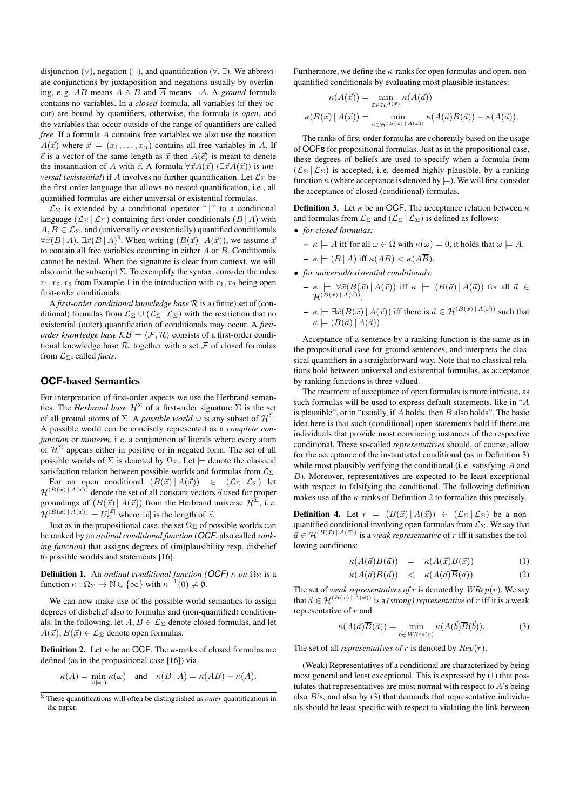disjunction (∨), negation (¬), and quantification (∀,  $\exists$ ). We abbreviate conjunctions by juxtaposition and negations usually by overlining, e.g. AB means  $A \wedge B$  and  $\overline{A}$  means  $\neg A$ . A *ground* formula contains no variables. In a *closed* formula, all variables (if they occur) are bound by quantifiers, otherwise, the formula is *open*, and the variables that occur outside of the range of quantifiers are called *free*. If a formula A contains free variables we also use the notation  $A(\vec{x})$  where  $\vec{x} = (x_1, \ldots, x_n)$  contains all free variables in A. If  $\vec{c}$  is a vector of the same length as  $\vec{x}$  then  $A(\vec{c})$  is meant to denote the instantiation of A with  $\vec{c}$ . A formula  $\forall \vec{x} A(\vec{x})$  ( $\exists \vec{x} A(\vec{x})$ ) is *universal (existential)* if A involves no further quantification. Let  $\mathcal{L}_{\Sigma}$  be the first-order language that allows no nested quantification, i.e., all quantified formulas are either universal or existential formulas.

 $\mathcal{L}_{\Sigma}$  is extended by a conditional operator " |" to a conditional language  $(\mathcal{L}_{\Sigma} | \mathcal{L}_{\Sigma})$  containing first-order conditionals  $(B | A)$  with  $A, B \in \mathcal{L}_{\Sigma}$ , and (universally or existentially) quantified conditionals  $\forall \vec{x}(B | A)$ ,  $\exists \vec{x}(B | A)^3$ . When writing  $(B(\vec{x}) | A(\vec{x}))$ , we assume  $\vec{x}$ to contain all free variables occurring in either A or B. Conditionals cannot be nested. When the signature is clear from context, we will also omit the subscript  $\Sigma$ . To exemplify the syntax, consider the rules  $r_1, r_2, r_3$  from Example 1 in the introduction with  $r_1, r_2$  being open first-order conditionals.

A *first-order conditional knowledge base* R is a (finite) set of (conditional) formulas from  $\mathcal{L}_{\Sigma} \cup (\mathcal{L}_{\Sigma} | \mathcal{L}_{\Sigma})$  with the restriction that no existential (outer) quantification of conditionals may occur. A *firstorder knowledge base*  $KB = \langle F, \mathcal{R} \rangle$  consists of a first-order conditional knowledge base  $\mathcal R$ , together with a set  $\mathcal F$  of closed formulas from  $\mathcal{L}_{\Sigma}$ , called *facts*.

# **OCF**-based Semantics

For interpretation of first-order aspects we use the Herbrand semantics. The *Herbrand base*  $\mathcal{H}^{\Sigma}$  of a first-order signature  $\Sigma$  is the set of all ground atoms of  $\Sigma$ . A *possible world*  $\omega$  is any subset of  $\mathcal{H}^{\Sigma}$ . A possible world can be concisely represented as a *complete conjunction* or *minterm*, i. e. a conjunction of literals where every atom of  $\mathcal{H}^{\Sigma}$  appears either in positive or in negated form. The set of all possible worlds of  $\Sigma$  is denoted by  $\Omega_{\Sigma}$ . Let  $\models$  denote the classical satisfaction relation between possible worlds and formulas from  $\mathcal{L}_{\Sigma}$ .

For an open conditional  $(B(\vec{x}) | A(\vec{x})) \in (\mathcal{L}_{\Sigma} | \mathcal{L}_{\Sigma})$  let  $\mathcal{H}^{(B(\vec{x}) \,|\, A(\vec{x}))}$  denote the set of all constant vectors  $\vec{a}$  used for proper groundings of  $(B(\vec{x}) | A(\vec{x}))$  from the Herbrand universe  $\mathcal{H}^{\Sigma}$ , i.e.  $\mathcal{H}^{(B(\vec{x}) \,|\, A(\vec{x}))} = U_{\Sigma}^{|\vec{x}|}$  where  $|\vec{x}|$  is the length of  $\vec{x}$ .

Just as in the propositional case, the set  $\Omega_{\Sigma}$  of possible worlds can be ranked by an *ordinal conditional function* (*OCF*, also called *ranking function*) that assigns degrees of (im)plausibility resp. disbelief to possible worlds and statements [16].

**Definition 1.** An *ordinal conditional function (OCF)*  $\kappa$  *on*  $\Omega_{\Sigma}$  is a function  $\kappa : \Omega_{\Sigma} \to \mathbb{N} \cup \{\infty\}$  with  $\kappa^{-1}(0) \neq \emptyset$ .

We can now make use of the possible world semantics to assign degrees of disbelief also to formulas and (non-quantified) conditionals. In the following, let  $A, B \in \mathcal{L}_{\Sigma}$  denote closed formulas, and let  $A(\vec{x}), B(\vec{x}) \in \mathcal{L}_{\Sigma}$  denote open formulas.

**Definition 2.** Let  $\kappa$  be an OCF. The  $\kappa$ -ranks of closed formulas are defined (as in the propositional case [16]) via

$$
\kappa(A) = \min_{\omega \models A} \kappa(\omega) \quad \text{and} \quad \kappa(B \mid A) = \kappa(AB) - \kappa(A).
$$

Furthermore, we define the  $\kappa$ -ranks for open formulas and open, nonquantified conditionals by evaluating most plausible instances:

$$
\kappa(A(\vec{x})) = \min_{\vec{a} \in \mathcal{H}^{A(\vec{x})}} \kappa(A(\vec{a}))
$$

$$
\kappa(B(\vec{x}) \mid A(\vec{x})) = \min_{\vec{a} \in \mathcal{H}^{(B(\vec{x}) \mid A(\vec{x}))}} \kappa(A(\vec{a})B(\vec{a})) - \kappa(A(\vec{a})).
$$

The ranks of first-order formulas are coherently based on the usage of OCFs for propositional formulas. Just as in the propositional case, these degrees of beliefs are used to specify when a formula from  $(\mathcal{L}_{\Sigma} | \mathcal{L}_{\Sigma})$  is accepted, i.e. deemed highly plausible, by a ranking function  $\kappa$  (where acceptance is denoted by  $\models$ ). We will first consider the acceptance of closed (conditional) formulas.

**Definition 3.** Let  $\kappa$  be an OCF. The acceptance relation between  $\kappa$ and formulas from  $\mathcal{L}_{\Sigma}$  and  $(\mathcal{L}_{\Sigma} | \mathcal{L}_{\Sigma})$  is defined as follows:

• *for closed formulas:*

 $- \kappa \models A$  iff for all  $\omega \in \Omega$  with  $\kappa(\omega) = 0$ , it holds that  $\omega \models A$ .

$$
- \kappa \models (B \mid A) \text{ iff } \kappa(AB) < \kappa(AB).
$$

- *for universal/existential conditionals:*
	- $\kappa$   $\models \forall \vec{x} (B(\vec{x}) \, | \, A(\vec{x}))$  iff  $\kappa$   $\models (B(\vec{a}) \, | \, A(\vec{a}))$  for all  $\vec{a} \in \vec{A}$  $\mathcal{H}^{(B(\vec{x})\,|\,A(\vec{x}))}.$
	- $\kappa = \exists \vec{x} (B(\vec{x}) | A(\vec{x}))$  iff there is  $\vec{a} \in \mathcal{H}^{(B(\vec{x}) | A(\vec{x}))}$  such that  $\kappa \models (B(\vec{a}) | A(\vec{a})).$

Acceptance of a sentence by a ranking function is the same as in the propositional case for ground sentences, and interprets the classical quantifiers in a straightforward way. Note that no classical relations hold between universal and existential formulas, as acceptance by ranking functions is three-valued.

The treatment of acceptance of open formulas is more intricate, as such formulas will be used to express default statements, like in "A is plausible", or in "usually, if  $A$  holds, then  $B$  also holds". The basic idea here is that such (conditional) open statements hold if there are individuals that provide most convincing instances of the respective conditional. These so-called *representatives* should, of course, allow for the acceptance of the instantiated conditional (as in Definition 3) while most plausibly verifying the conditional (i.e. satisfying A and B). Moreover, representatives are expected to be least exceptional with respect to falsifying the conditional. The following definition makes use of the  $\kappa$ -ranks of Definition 2 to formalize this precisely.

**Definition 4.** Let  $r = (B(\vec{x}) | A(\vec{x})) \in (\mathcal{L}_{\Sigma} | \mathcal{L}_{\Sigma})$  be a nonquantified conditional involving open formulas from  $\mathcal{L}_{\Sigma}$ . We say that  $\vec{a} \in \mathcal{H}^{(B(\vec{x}) \,|\, A(\vec{x}))}$  is a *weak representative* of r iff it satisfies the following conditions:

$$
\kappa(A(\vec{a})B(\vec{a})) = \kappa(A(\vec{x})B(\vec{x})) \tag{1}
$$

$$
\kappa(A(\vec{a})B(\vec{a})) \quad < \quad \kappa(A(\vec{a})\overline{B}(\vec{a})) \tag{2}
$$

The set of *weak representatives of*  $r$  is denoted by  $WRep(r)$ . We say that  $\vec{a} \in \mathcal{H}^{(B(\vec{x}) \,|\, A(\vec{x}))}$  is a *(strong) representative* of r iff it is a weak representative of r and

$$
\kappa(A(\vec{a})\overline{B}(\vec{a})) = \min_{\vec{b}\in\text{WRep}(r)} \kappa(A(\vec{b})\overline{B}(\vec{b})).\tag{3}
$$

The set of all *representatives of* r is denoted by Rep(r).

(Weak) Representatives of a conditional are characterized by being most general and least exceptional. This is expressed by (1) that postulates that representatives are most normal with respect to  $A$ 's being also  $B$ 's, and also by (3) that demands that representative individuals should be least specific with respect to violating the link between

<sup>3</sup> These quantifications will often be distinguished as *outer* quantifications in the paper.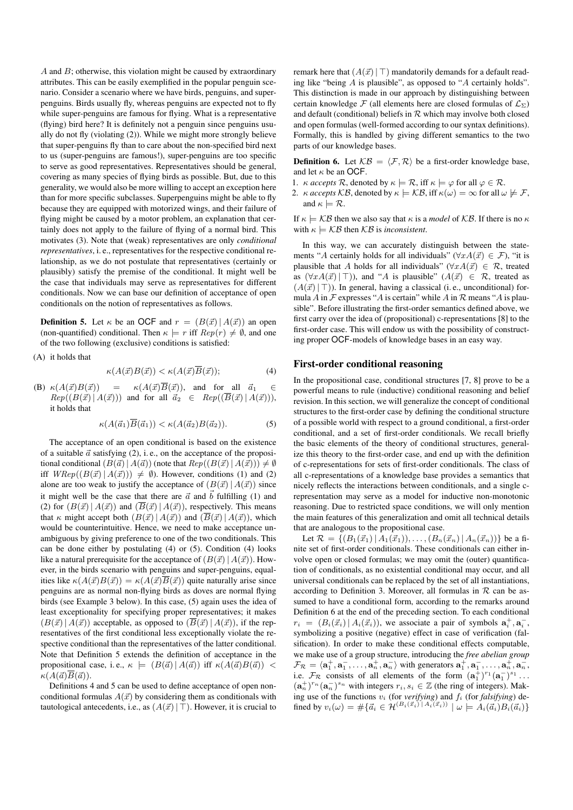$A$  and  $B$ ; otherwise, this violation might be caused by extraordinary attributes. This can be easily exemplified in the popular penguin scenario. Consider a scenario where we have birds, penguins, and superpenguins. Birds usually fly, whereas penguins are expected not to fly while super-penguins are famous for flying. What is a representative (flying) bird here? It is definitely not a penguin since penguins usually do not fly (violating (2)). While we might more strongly believe that super-penguins fly than to care about the non-specified bird next to us (super-penguins are famous!), super-penguins are too specific to serve as good representatives. Representatives should be general, covering as many species of flying birds as possible. But, due to this generality, we would also be more willing to accept an exception here than for more specific subclasses. Superpenguins might be able to fly because they are equipped with motorized wings, and their failure of flying might be caused by a motor problem, an explanation that certainly does not apply to the failure of flying of a normal bird. This motivates (3). Note that (weak) representatives are only *conditional representatives*, i. e., representatives for the respective conditional relationship, as we do not postulate that representatives (certainly or plausibly) satisfy the premise of the conditional. It might well be the case that individuals may serve as representatives for different conditionals. Now we can base our definition of acceptance of open conditionals on the notion of representatives as follows.

**Definition 5.** Let  $\kappa$  be an OCF and  $r = (B(\vec{x}) | A(\vec{x}))$  an open (non-quantified) conditional. Then  $\kappa \models r$  iff  $Rep(r) \neq \emptyset$ , and one of the two following (exclusive) conditions is satisfied:

(A) it holds that

$$
\kappa(A(\vec{x})B(\vec{x})) < \kappa(A(\vec{x})\overline{B}(\vec{x}));\tag{4}
$$

(B)  $\kappa(A(\vec{x})B(\vec{x})) = \kappa(A(\vec{x})\overline{B}(\vec{x}))$ , and for all  $\vec{a}_1 \in$  $Rep((B(\vec{x}) | A(\vec{x})))$  and for all  $\vec{a}_2 \in Rep((\overline{B}(\vec{x}) | A(\vec{x}))),$ it holds that

$$
\kappa(A(\vec{a}_1)\overline{B}(\vec{a}_1)) < \kappa(A(\vec{a}_2)B(\vec{a}_2)).\tag{5}
$$

The acceptance of an open conditional is based on the existence of a suitable  $\vec{a}$  satisfying (2), i.e., on the acceptance of the propositional conditional  $(B(\vec{a}) | A(\vec{a}))$  (note that  $Rep((B(\vec{x}) | A(\vec{x}))) \neq \emptyset$ iff  $WRep((B(\vec{x}) | A(\vec{x}))) \neq \emptyset$ . However, conditions (1) and (2) alone are too weak to justify the acceptance of  $(B(\vec{x}) | A(\vec{x}))$  since it might well be the case that there are  $\vec{a}$  and  $\vec{b}$  fulfilling (1) and (2) for  $(B(\vec{x}) | A(\vec{x}))$  and  $(B(\vec{x}) | A(\vec{x}))$ , respectively. This means that  $\kappa$  might accept both  $(B(\vec{x}) | A(\vec{x}))$  and  $(B(\vec{x}) | A(\vec{x}))$ , which would be counterintuitive. Hence, we need to make acceptance unambiguous by giving preference to one of the two conditionals. This can be done either by postulating (4) or (5). Condition (4) looks like a natural prerequisite for the acceptance of  $(B(\vec{x}) | A(\vec{x}))$ . However, in the birds scenario with penguins and super-penguins, equalities like  $\kappa(A(\vec{x})B(\vec{x})) = \kappa(A(\vec{x})\overline{B}(\vec{x}))$  quite naturally arise since penguins are as normal non-flying birds as doves are normal flying birds (see Example 3 below). In this case, (5) again uses the idea of least exceptionality for specifying proper representatives; it makes  $(B(\vec{x}) | A(\vec{x}))$  acceptable, as opposed to  $(\overline{B}(\vec{x}) | A(\vec{x}))$ , if the representatives of the first conditional less exceptionally violate the respective conditional than the representatives of the latter conditional. Note that Definition 5 extends the definition of acceptance in the propositional case, i.e.,  $\kappa$   $\models$   $(B(\vec{a}) | A(\vec{a}))$  iff  $\kappa(A(\vec{a})B(\vec{a}))$  <  $\kappa(A(\vec{a})\overline{B}(\vec{a})).$ 

Definitions 4 and 5 can be used to define acceptance of open nonconditional formulas  $A(\vec{x})$  by considering them as conditionals with tautological antecedents, i.e., as  $(A(\vec{x}) | \top)$ . However, it is crucial to

remark here that  $(A(\vec{x}) | \top)$  mandatorily demands for a default reading like "being  $A$  is plausible", as opposed to " $A$  certainly holds". This distinction is made in our approach by distinguishing between certain knowledge F (all elements here are closed formulas of  $\mathcal{L}_{\Sigma}$ ) and default (conditional) beliefs in  $R$  which may involve both closed and open formulas (well-formed according to our syntax definitions). Formally, this is handled by giving different semantics to the two parts of our knowledge bases.

**Definition 6.** Let  $KB = \langle F, \mathcal{R} \rangle$  be a first-order knowledge base, and let  $\kappa$  be an OCF.

- 1. *κ accepts*  $\mathcal{R}$ , denoted by  $\kappa \models \mathcal{R}$ , iff  $\kappa \models \varphi$  for all  $\varphi \in \mathcal{R}$ .
- 2. *κ accepts*  $KB$ , denoted by  $\kappa \models KB$ , iff  $\kappa(\omega) = \infty$  for all  $\omega \not\models F$ , and  $\kappa \models \mathcal{R}$ .

If  $\kappa \models \mathcal{KB}$  then we also say that  $\kappa$  is a *model* of  $\mathcal{KB}$ . If there is no  $\kappa$ with  $\kappa \models \mathcal{KB}$  then  $\mathcal{KB}$  is *inconsistent*.

In this way, we can accurately distinguish between the statements "A certainly holds for all individuals" ( $\forall x A(\vec{x}) \in \mathcal{F}$ ), "it is plausible that A holds for all individuals" ( $\forall x A(\vec{x}) \in \mathcal{R}$ , treated as  $(\forall x A(\vec{x}) | \top)$ ), and "A is plausible"  $(A(\vec{x}) \in \mathcal{R}$ , treated as  $(A(\vec{x}) | \top)$ ). In general, having a classical (i.e., unconditional) formula A in  $\mathcal F$  expresses "A is certain" while A in  $\mathcal R$  means "A is plausible". Before illustrating the first-order semantics defined above, we first carry over the idea of (propositional) c-representations [8] to the first-order case. This will endow us with the possibility of constructing proper OCF-models of knowledge bases in an easy way.

#### First-order conditional reasoning

In the propositional case, conditional structures [7, 8] prove to be a powerful means to rule (inductive) conditional reasoning and belief revision. In this section, we will generalize the concept of conditional structures to the first-order case by defining the conditional structure of a possible world with respect to a ground conditional, a first-order conditional, and a set of first-order conditionals. We recall briefly the basic elements of the theory of conditional structures, generalize this theory to the first-order case, and end up with the definition of c-representations for sets of first-order conditionals. The class of all c-representations of a knowledge base provides a semantics that nicely reflects the interactions between conditionals, and a single crepresentation may serve as a model for inductive non-monotonic reasoning. Due to restricted space conditions, we will only mention the main features of this generalization and omit all technical details that are analogous to the propositional case.

Let  $\mathcal{R} = \{(B_1(\vec{x}_1) | A_1(\vec{x}_1)), \ldots, (B_n(\vec{x}_n) | A_n(\vec{x}_n))\}\)$  be a finite set of first-order conditionals. These conditionals can either involve open or closed formulas; we may omit the (outer) quantification of conditionals, as no existential conditional may occur, and all universal conditionals can be replaced by the set of all instantiations, according to Definition 3. Moreover, all formulas in  $R$  can be assumed to have a conditional form, according to the remarks around Definition 6 at the end of the preceding section. To each conditional  $r_i = (B_i(\vec{x}_i) | A_i(\vec{x}_i))$ , we associate a pair of symbols  $\mathbf{a}_i^+, \mathbf{a}_i^-$ , symbolizing a positive (negative) effect in case of verification (falsification). In order to make these conditional effects computable, we make use of a group structure, introducing the *free abelian group*  $\mathcal{F}_\mathcal{R} = \langle \mathbf{a}_1^+, \mathbf{a}_1^-, \dots, \mathbf{a}_n^+, \mathbf{a}_n^- \rangle$  with generators  $\mathbf{a}_1^+, \mathbf{a}_1^-, \dots, \mathbf{a}_n^+, \mathbf{a}_n^$ i.e.  $\mathcal{F}_{\mathcal{R}}$  consists of all elements of the form  $(\mathbf{a}_1^{\dagger})^{r_1}(\mathbf{a}_1^{-})^{s_1} \dots$  $(a_n^+)^{r_n} (a_n^-)^{s_n}$  with integers  $r_i, s_i \in \mathbb{Z}$  (the ring of integers). Making use of the functions  $v_i$  (for *verifying*) and  $f_i$  (for *falsifying*) defined by  $v_i(\omega) = #\{\vec{a}_i \in \mathcal{H}^{(B_i(\vec{x}_i) | A_i(\vec{x}_i))} | \omega \models A_i(\vec{a}_i)B_i(\vec{a}_i)\}\$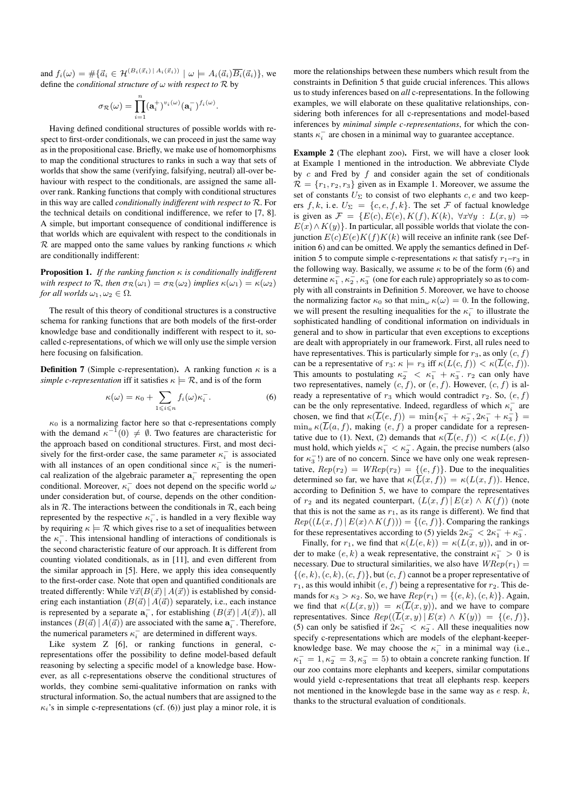and  $f_i(\omega) = #\{\vec{a}_i \in \mathcal{H}^{(B_i(\vec{x}_i) | A_i(\vec{x}_i))} \mid \omega \models A_i(\vec{a}_i)\overline{B_i}(\vec{a}_i)\}\text{, we}$ define the *conditional structure of* ω *with respect to* R by

$$
\sigma_{\mathcal{R}}(\omega) = \prod_{i=1}^n (\mathbf{a}_i^+)^{v_i(\omega)} (\mathbf{a}_i^-)^{f_i(\omega)}
$$

.

Having defined conditional structures of possible worlds with respect to first-order conditionals, we can proceed in just the same way as in the propositional case. Briefly, we make use of homomorphisms to map the conditional structures to ranks in such a way that sets of worlds that show the same (verifying, falsifying, neutral) all-over behaviour with respect to the conditionals, are assigned the same allover rank. Ranking functions that comply with conditional structures in this way are called *conditionally indifferent with respect to* R. For the technical details on conditional indifference, we refer to [7, 8]. A simple, but important consequence of conditional indifference is that worlds which are equivalent with respect to the conditionals in  $\mathcal R$  are mapped onto the same values by ranking functions  $\kappa$  which are conditionally indifferent:

Proposition 1. *If the ranking function* κ *is conditionally indifferent with respect to*  $\mathcal{R}$ *, then*  $\sigma_{\mathcal{R}}(\omega_1) = \sigma_{\mathcal{R}}(\omega_2)$  *implies*  $\kappa(\omega_1) = \kappa(\omega_2)$ *for all worlds*  $\omega_1, \omega_2 \in \Omega$ .

The result of this theory of conditional structures is a constructive schema for ranking functions that are both models of the first-order knowledge base and conditionally indifferent with respect to it, socalled c-representations, of which we will only use the simple version here focusing on falsification.

**Definition 7** (Simple c-representation). A ranking function  $\kappa$  is a *simple c-representation* iff it satisfies  $\kappa \models \mathcal{R}$ , and is of the form

$$
\kappa(\omega) = \kappa_0 + \sum_{1 \leq i \leq n} f_i(\omega) \kappa_i^-.
$$
 (6)

 $\kappa_0$  is a normalizing factor here so that c-representations comply with the demand  $\kappa^{-1}(0) \neq \emptyset$ . Two features are characteristic for the approach based on conditional structures. First, and most decisively for the first-order case, the same parameter  $\kappa_i^-$  is associated with all instances of an open conditional since  $\kappa_i^-$  is the numerical realization of the algebraic parameter  $a_i^-$  representing the open conditional. Moreover,  $\kappa_i^+$  does not depend on the specific world  $\omega$ under consideration but, of course, depends on the other conditionals in  $R$ . The interactions between the conditionals in  $R$ , each being represented by the respective  $\kappa_i^-$ , is handled in a very flexible way by requiring  $\kappa \models \mathcal{R}$  which gives rise to a set of inequalities between the  $\kappa_i^-$ . This intensional handling of interactions of conditionals is the second characteristic feature of our approach. It is different from counting violated conditionals, as in [11], and even different from the similar approach in [5]. Here, we apply this idea consequently to the first-order case. Note that open and quantified conditionals are treated differently: While  $\forall \vec{x}(B(\vec{x}) | A(\vec{x}))$  is established by considering each instantiation  $(B(\vec{a}) | A(\vec{a}))$  separately, i.e., each instance is represented by a separate  $\mathbf{a}_i^-$ , for establishing  $(B(\vec{x}) | A(\vec{x}))$ , all instances  $(B(\vec{a}) | A(\vec{a}))$  are associated with the same  $a_i^-$ . Therefore, the numerical parameters  $\kappa_i^-$  are determined in different ways.

Like system Z [6], or ranking functions in general, crepresentations offer the possibility to define model-based default reasoning by selecting a specific model of a knowledge base. However, as all c-representations observe the conditional structures of worlds, they combine semi-qualitative information on ranks with structural information. So, the actual numbers that are assigned to the  $\kappa_i$ 's in simple c-representations (cf. (6)) just play a minor role, it is

more the relationships between these numbers which result from the constraints in Definition 5 that guide crucial inferences. This allows us to study inferences based on *all* c-representations. In the following examples, we will elaborate on these qualitative relationships, considering both inferences for all c-representations and model-based inferences by *minimal simple c-representations*, for which the constants  $\kappa_i^-$  are chosen in a minimal way to guarantee acceptance.

Example 2 (The elephant zoo). First, we will have a closer look at Example 1 mentioned in the introduction. We abbreviate Clyde by  $c$  and Fred by  $f$  and consider again the set of conditionals  $\mathcal{R} = \{r_1, r_2, r_3\}$  given as in Example 1. Moreover, we assume the set of constants  $U_{\Sigma}$  to consist of two elephants  $c, e$  and two keepers  $f, k$ , i.e.  $U_{\Sigma} = \{c, e, f, k\}$ . The set F of factual knowledge is given as  $\mathcal{F} = \{E(c), E(e), K(f), K(k), \forall x \forall y : L(x, y) \Rightarrow$  $E(x) \wedge K(y)$ . In particular, all possible worlds that violate the conjunction  $E(c)E(e)K(f)K(k)$  will receive an infinite rank (see Definition 6) and can be omitted. We apply the semantics defined in Definition 5 to compute simple c-representations  $\kappa$  that satisfy  $r_1-r_3$  in the following way. Basically, we assume  $\kappa$  to be of the form (6) and determine  $\kappa_1^-$ ,  $\kappa_2^-$ ,  $\kappa_3^-$  (one for each rule) appropriately so as to comply with all constraints in Definition 5. Moreover, we have to choose the normalizing factor  $\kappa_0$  so that  $\min_{\omega} \kappa(\omega) = 0$ . In the following, we will present the resulting inequalities for the  $\kappa_i^-$  to illustrate the sophisticated handling of conditional information on individuals in general and to show in particular that even exceptions to exceptions are dealt with appropriately in our framework. First, all rules need to have representatives. This is particularly simple for  $r_3$ , as only  $(c, f)$ can be a representative of  $r_3$ :  $\kappa \models r_3$  iff  $\kappa(L(c, f)) < \kappa(\overline{L}(c, f)).$ This amounts to postulating  $\kappa_2^- < \kappa_1^- + \kappa_3^-$ .  $r_2$  can only have two representatives, namely  $(c, f)$ , or  $(e, f)$ . However,  $(c, f)$  is already a representative of  $r_3$  which would contradict  $r_2$ . So,  $(e, f)$ can be the only representative. Indeed, regardless of which  $\kappa_i^-$  are chosen, we find that  $\kappa(\overline{L}(e, f)) = \min\{\kappa_1^- + \kappa_2^-, 2\kappa_1^- + \kappa_3^-\}$  $\min_a \kappa(\overline{L}(a, f), \text{ making } (e, f) \text{ a proper candidate for a represen-}$ tative due to (1). Next, (2) demands that  $\kappa(\overline{L}(e, f)) < \kappa(L(e, f))$ must hold, which yields  $\kappa_1^- < \kappa_2^-$ . Again, the precise numbers (also for  $\kappa_3^-$ !) are of no concern. Since we have only one weak representative,  $Rep(r_2) = WRep(r_2) = \{(e, f)\}\)$ . Due to the inequalities determined so far, we have that  $\kappa(\overline{L}(x, f)) = \kappa(L(x, f))$ . Hence, according to Definition 5, we have to compare the representatives of  $r_2$  and its negated counterpart,  $(L(x, f) | E(x) \wedge K(f))$  (note that this is not the same as  $r_1$ , as its range is different). We find that  $Rep((L(x, f) | E(x) \wedge K(f))) = \{(c, f)\}.$  Comparing the rankings for these representatives according to (5) yields  $2\kappa_2^- < 2\kappa_1^- + \kappa_3^-$ .

Finally, for  $r_1$ , we find that  $\kappa(L(e, k)) = \kappa(L(x, y))$ , and in order to make  $(e, k)$  a weak representative, the constraint  $\kappa_1^- > 0$  is necessary. Due to structural similarities, we also have  $W\!Rep(r_1) =$  $\{(e, k), (c, k), (c, f)\}\$ , but  $(c, f)$  cannot be a proper representative of  $r_1$ , as this would inhibit  $(e, f)$  being a representative for  $r_2$ . This demands for  $\kappa_3 > \kappa_2$ . So, we have  $Rep(r_1) = \{(e, k), (c, k)\}\)$ . Again, we find that  $\kappa(L(x, y)) = \kappa(\overline{L}(x, y))$ , and we have to compare representatives. Since  $Rep((\overline{L}(x, y) | E(x) \wedge K(y))) = \{(e, f)\},\$ (5) can only be satisfied if  $2\kappa_1^- < \kappa_2^-$ . All these inequalities now specify c-representations which are models of the elephant-keeperknowledge base. We may choose the  $\kappa_i^-$  in a minimal way (i.e.,  $\kappa_1^- = 1, \kappa_2^- = 3, \kappa_3^- = 5$ ) to obtain a concrete ranking function. If our zoo contains more elephants and keepers, similar computations would yield c-representations that treat all elephants resp. keepers not mentioned in the knowlegde base in the same way as  $e$  resp.  $k$ . thanks to the structural evaluation of conditionals.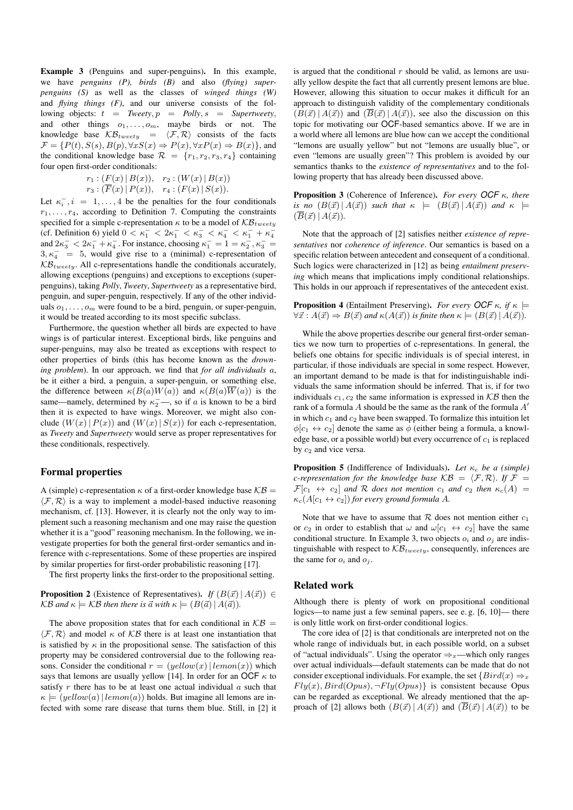Example 3 (Penguins and super-penguins). In this example, we have *penguins (P), birds (B)* and also *(flying) superpenguins (S)* as well as the classes of *winged things (W)* and *flying things (F)*, and our universe consists of the following objects:  $t = \text{I} \text{w} \text{e} \text{e} \text{t} \text{y}, p = \text{P} \text{o} \text{d} \text{y}, s = \text{S} \text{u} \text{p} \text{e} \text{r} \text{t} \text{w} \text{e} \text{e} \text{t} \text{y}$ and other things  $o_1, \ldots, o_m$ , maybe birds or not. The knowledge base  $\mathcal{KB}_{tweety} = \langle \mathcal{F}, \mathcal{R} \rangle$  consists of the facts  $\mathcal{F} = \{P(t), S(s), B(p), \forall x S(x) \Rightarrow P(x), \forall x P(x) \Rightarrow B(x)\}\$ , and the conditional knowledge base  $\mathcal{R} = \{r_1, r_2, r_3, r_4\}$  containing four open first-order conditionals:

$$
r_1: (F(x) | B(x)), r_2: (W(x) | B(x))
$$
  

$$
r_3: (\overline{F}(x) | P(x)), r_4: (F(x) | S(x)).
$$

Let  $\kappa_i^-, i = 1, \ldots, 4$  be the penalties for the four conditionals  $r_1, \ldots, r_4$ , according to Definition 7. Computing the constraints specified for a simple c-representation  $\kappa$  to be a model of  $\mathcal{KB}_{tweety}$ (cf. Definition 6) yield  $0 < \kappa_1^- < 2\kappa_1^- < \kappa_3^- < \kappa_4^- < \kappa_1^- + \kappa_4^-$ and  $2\kappa_3^- < 2\kappa_1^- + \kappa_4^-$ . For instance, choosing  $\kappa_1^- = 1 = \kappa_2^-$ ,  $\kappa_3^- =$  $3, \kappa_4^- = 5$ , would give rise to a (minimal) c-representation of  $KB_{tweety}$ . All c-representations handle the conditionals accurately, allowing exceptions (penguins) and exceptions to exceptions (superpenguins), taking *Polly*, *Tweety*, *Supertweety* as a representative bird, penguin, and super-penguin, respectively. If any of the other individuals  $o_1, \ldots, o_m$  were found to be a bird, penguin, or super-penguin, it would be treated according to its most specific subclass.

Furthermore, the question whether all birds are expected to have wings is of particular interest. Exceptional birds, like penguins and super-penguins, may also be treated as exceptions with respect to other properties of birds (this has become known as the *drowning problem*). In our approach, we find that *for all individuals* a, be it either a bird, a penguin, a super-penguin, or something else, the difference between  $\kappa(B(a)W(a))$  and  $\kappa(B(a)\overline{W}(a))$  is the same—namely, determined by  $\kappa_2^-$ —, so if a is known to be a bird then it is expected to have wings. Moreover, we might also conclude  $(W(x) | P(x))$  and  $(W(x) | S(x))$  for each c-representation, as *Tweety* and *Supertweety* would serve as proper representatives for these conditionals, respectively.

#### Formal properties

A (simple) c-representation  $\kappa$  of a first-order knowledge base  $\mathcal{KB} =$  $\langle \mathcal{F}, \mathcal{R} \rangle$  is a way to implement a model-based inductive reasoning mechanism, cf. [13]. However, it is clearly not the only way to implement such a reasoning mechanism and one may raise the question whether it is a "good" reasoning mechanism. In the following, we investigate properties for both the general first-order semantics and inference with c-representations. Some of these properties are inspired by similar properties for first-order probabilistic reasoning [17].

The first property links the first-order to the propositional setting.

**Proposition 2** (Existence of Representatives). *If*  $(B(\vec{x}) | A(\vec{x})) \in$  $KB$  *and*  $\kappa \models KB$  *then there is*  $\vec{a}$  *with*  $\kappa \models (B(\vec{a}) | A(\vec{a}))$ *.* 

The above proposition states that for each conditional in  $KB =$  $\langle \mathcal{F}, \mathcal{R} \rangle$  and model  $\kappa$  of  $\mathcal{KB}$  there is at least one instantiation that is satisfied by  $\kappa$  in the propositional sense. The satisfaction of this property may be considered controversial due to the following reasons. Consider the conditional  $r = (yellow(x)|\,lemon(x))$  which says that lemons are usually yellow [14]. In order for an OCF  $\kappa$  to satisfy  $r$  there has to be at least one actual individual  $a$  such that  $\kappa \models (yellow(a)|\,lemon(a))$  holds. But imagine all lemons are infected with some rare disease that turns them blue. Still, in [2] it is argued that the conditional  $r$  should be valid, as lemons are usually yellow despite the fact that all currently present lemons are blue. However, allowing this situation to occur makes it difficult for an approach to distinguish validity of the complementary conditionals  $(B(\vec{x}) | A(\vec{x}))$  and  $(\overline{B}(\vec{x}) | A(\vec{x}))$ , see also the discussion on this topic for motivating our OCF-based semantics above. If we are in a world where all lemons are blue how can we accept the conditional "lemons are usually yellow" but not "lemons are usually blue", or even "lemons are usually green"? This problem is avoided by our semantics thanks to the *existence of representatives* and to the following property that has already been discussed above.

Proposition 3 (Coherence of Inference). *For every OCF* κ*, there is no*  $(B(\vec{x}) | A(\vec{x}))$  *such that*  $\kappa \models (B(\vec{x}) | A(\vec{x}))$  *and*  $\kappa \models$  $(\overline{B}(\vec{x}) | A(\vec{x}))$ .

Note that the approach of [2] satisfies neither *existence of representatives* nor *coherence of inference*. Our semantics is based on a specific relation between antecedent and consequent of a conditional. Such logics were characterized in [12] as being *entailment preserving* which means that implications imply conditional relationships. This holds in our approach if representatives of the antecedent exist.

**Proposition 4** (Entailment Preserving). *For every OCF*  $\kappa$ , if  $\kappa$  $\forall \vec{x} : A(\vec{x}) \Rightarrow B(\vec{x})$  *and*  $\kappa(A(\vec{x}))$  *is finite then*  $\kappa \models (B(\vec{x}) | A(\vec{x}))$ *.* 

While the above properties describe our general first-order semantics we now turn to properties of c-representations. In general, the beliefs one obtains for specific individuals is of special interest, in particular, if those individuals are special in some respect. However, an important demand to be made is that for indistinguishable individuals the same information should be inferred. That is, if for two individuals  $c_1, c_2$  the same information is expressed in  $KB$  then the rank of a formula  $A$  should be the same as the rank of the formula  $A'$ in which  $c_1$  and  $c_2$  have been swapped. To formalize this intuition let  $\phi[c_1 \leftrightarrow c_2]$  denote the same as  $\phi$  (either being a formula, a knowledge base, or a possible world) but every occurrence of  $c_1$  is replaced by  $c_2$  and vice versa.

**Proposition 5** (Indifference of Individuals). Let  $\kappa_c$  be a (simple) *c*-representation for the knowledge base  $KB = \langle F, \mathcal{R} \rangle$ . If  $F =$  $\mathcal{F}[c_1 \leftrightarrow c_2]$  *and* R *does not mention*  $c_1$  *and*  $c_2$  *then*  $\kappa_c(A)$  =  $\kappa_c(A[c_1 \leftrightarrow c_2])$  *for every ground formula A.* 

Note that we have to assume that  $R$  does not mention either  $c_1$ or  $c_2$  in order to establish that  $\omega$  and  $\omega[c_1 \leftrightarrow c_2]$  have the same conditional structure. In Example 3, two objects  $o_i$  and  $o_j$  are indistinguishable with respect to  $\mathcal{KB}_{\mathit{tweety}}$ , consequently, inferences are the same for  $o_i$  and  $o_j$ .

#### Related work

Although there is plenty of work on propositional conditional logics—to name just a few seminal papers, see e. g. [6, 10]— there is only little work on first-order conditional logics.

The core idea of [2] is that conditionals are interpreted not on the whole range of individuals but, in each possible world, on a subset of "actual individuals". Using the operator  $\Rightarrow$ <sub>x</sub>—which only ranges over actual individuals—default statements can be made that do not consider exceptional individuals. For example, the set  $\{Bird(x) \Rightarrow x$  $Fly(x), Bird(Opus), \neg Fly(Opus)$  is consistent because Opus can be regarded as exceptional. We already mentioned that the approach of [2] allows both  $(B(\vec{x}) | A(\vec{x}))$  and  $(\overline{B}(\vec{x}) | A(\vec{x}))$  to be